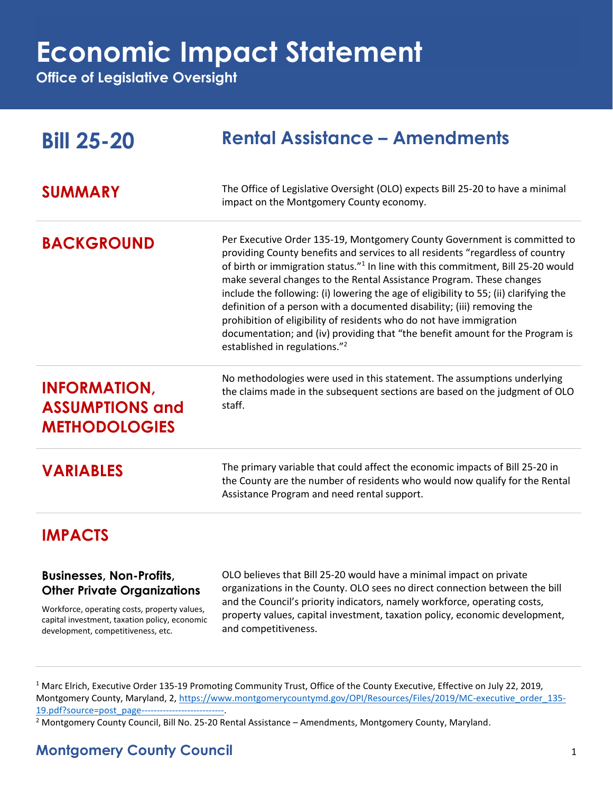## **Economic Impact Statement**

**Office of Legislative Oversight**

| <b>Bill 25-20</b>                                                                                                                                                                                            | <b>Rental Assistance - Amendments</b>                                                                                                                                                                                                                                                                                                                                                                                                                                                                                                                                                                                                                                                                       |
|--------------------------------------------------------------------------------------------------------------------------------------------------------------------------------------------------------------|-------------------------------------------------------------------------------------------------------------------------------------------------------------------------------------------------------------------------------------------------------------------------------------------------------------------------------------------------------------------------------------------------------------------------------------------------------------------------------------------------------------------------------------------------------------------------------------------------------------------------------------------------------------------------------------------------------------|
| <b>SUMMARY</b>                                                                                                                                                                                               | The Office of Legislative Oversight (OLO) expects Bill 25-20 to have a minimal<br>impact on the Montgomery County economy.                                                                                                                                                                                                                                                                                                                                                                                                                                                                                                                                                                                  |
| <b>BACKGROUND</b>                                                                                                                                                                                            | Per Executive Order 135-19, Montgomery County Government is committed to<br>providing County benefits and services to all residents "regardless of country<br>of birth or immigration status." <sup>1</sup> In line with this commitment, Bill 25-20 would<br>make several changes to the Rental Assistance Program. These changes<br>include the following: (i) lowering the age of eligibility to 55; (ii) clarifying the<br>definition of a person with a documented disability; (iii) removing the<br>prohibition of eligibility of residents who do not have immigration<br>documentation; and (iv) providing that "the benefit amount for the Program is<br>established in regulations." <sup>2</sup> |
| <b>INFORMATION,</b><br><b>ASSUMPTIONS and</b><br><b>METHODOLOGIES</b>                                                                                                                                        | No methodologies were used in this statement. The assumptions underlying<br>the claims made in the subsequent sections are based on the judgment of OLO<br>staff.                                                                                                                                                                                                                                                                                                                                                                                                                                                                                                                                           |
| <b>VARIABLES</b>                                                                                                                                                                                             | The primary variable that could affect the economic impacts of Bill 25-20 in<br>the County are the number of residents who would now qualify for the Rental<br>Assistance Program and need rental support.                                                                                                                                                                                                                                                                                                                                                                                                                                                                                                  |
| <b>IMPACTS</b>                                                                                                                                                                                               |                                                                                                                                                                                                                                                                                                                                                                                                                                                                                                                                                                                                                                                                                                             |
| <b>Businesses, Non-Profits,</b><br><b>Other Private Organizations</b><br>Workforce, operating costs, property values,<br>capital investment, taxation policy, economic<br>development, competitiveness, etc. | OLO believes that Bill 25-20 would have a minimal impact on private<br>organizations in the County. OLO sees no direct connection between the bill<br>and the Council's priority indicators, namely workforce, operating costs,<br>property values, capital investment, taxation policy, economic development,<br>and competitiveness.                                                                                                                                                                                                                                                                                                                                                                      |

<sup>1</sup> Marc Elrich, Executive Order 135-19 Promoting Community Trust, Office of the County Executive, Effective on July 22, 2019, Montgomery County, Maryland, 2, [https://www.montgomerycountymd.gov/OPI/Resources/Files/2019/MC-executive\\_order\\_135-](https://www.montgomerycountymd.gov/OPI/Resources/Files/2019/MC-executive_order_135-19.pdf?source=post_page---------------------------) [19.pdf?source=post\\_page---------------------------.](https://www.montgomerycountymd.gov/OPI/Resources/Files/2019/MC-executive_order_135-19.pdf?source=post_page---------------------------)

<sup>2</sup> Montgomery County Council, Bill No. 25-20 Rental Assistance – Amendments, Montgomery County, Maryland.

## **Montgomery County Council** 1